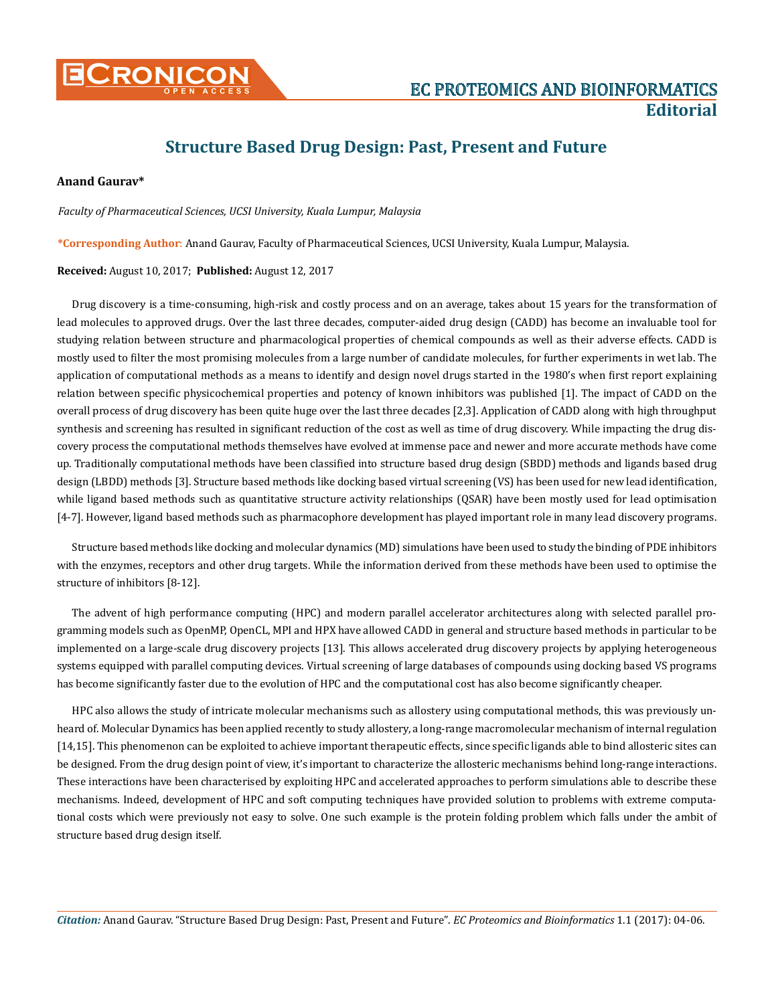

## **Structure Based Drug Design: Past, Present and Future**

## **Anand Gaurav\***

*Faculty of Pharmaceutical Sciences, UCSI University, Kuala Lumpur, Malaysia*

**\*Corresponding Author**: Anand Gaurav, Faculty of Pharmaceutical Sciences, UCSI University, Kuala Lumpur, Malaysia.

## **Received:** August 10, 2017; **Published:** August 12, 2017

Drug discovery is a time-consuming, high-risk and costly process and on an average, takes about 15 years for the transformation of lead molecules to approved drugs. Over the last three decades, computer-aided drug design (CADD) has become an invaluable tool for studying relation between structure and pharmacological properties of chemical compounds as well as their adverse effects. CADD is mostly used to filter the most promising molecules from a large number of candidate molecules, for further experiments in wet lab. The application of computational methods as a means to identify and design novel drugs started in the 1980's when first report explaining relation between specific physicochemical properties and potency of known inhibitors was published [1]. The impact of CADD on the overall process of drug discovery has been quite huge over the last three decades [2,3]. Application of CADD along with high throughput synthesis and screening has resulted in significant reduction of the cost as well as time of drug discovery. While impacting the drug discovery process the computational methods themselves have evolved at immense pace and newer and more accurate methods have come up. Traditionally computational methods have been classified into structure based drug design (SBDD) methods and ligands based drug design (LBDD) methods [3]. Structure based methods like docking based virtual screening (VS) has been used for new lead identification, while ligand based methods such as quantitative structure activity relationships (QSAR) have been mostly used for lead optimisation [4-7]. However, ligand based methods such as pharmacophore development has played important role in many lead discovery programs.

Structure based methods like docking and molecular dynamics (MD) simulations have been used to study the binding of PDE inhibitors with the enzymes, receptors and other drug targets. While the information derived from these methods have been used to optimise the structure of inhibitors [8-12].

The advent of high performance computing (HPC) and modern parallel accelerator architectures along with selected parallel programming models such as OpenMP, OpenCL, MPI and HPX have allowed CADD in general and structure based methods in particular to be implemented on a large-scale drug discovery projects [13]. This allows accelerated drug discovery projects by applying heterogeneous systems equipped with parallel computing devices. Virtual screening of large databases of compounds using docking based VS programs has become significantly faster due to the evolution of HPC and the computational cost has also become significantly cheaper.

HPC also allows the study of intricate molecular mechanisms such as allostery using computational methods, this was previously unheard of. Molecular Dynamics has been applied recently to study allostery, a long-range macromolecular mechanism of internal regulation [14,15]. This phenomenon can be exploited to achieve important therapeutic effects, since specific ligands able to bind allosteric sites can be designed. From the drug design point of view, it's important to characterize the allosteric mechanisms behind long-range interactions. These interactions have been characterised by exploiting HPC and accelerated approaches to perform simulations able to describe these mechanisms. Indeed, development of HPC and soft computing techniques have provided solution to problems with extreme computational costs which were previously not easy to solve. One such example is the protein folding problem which falls under the ambit of structure based drug design itself.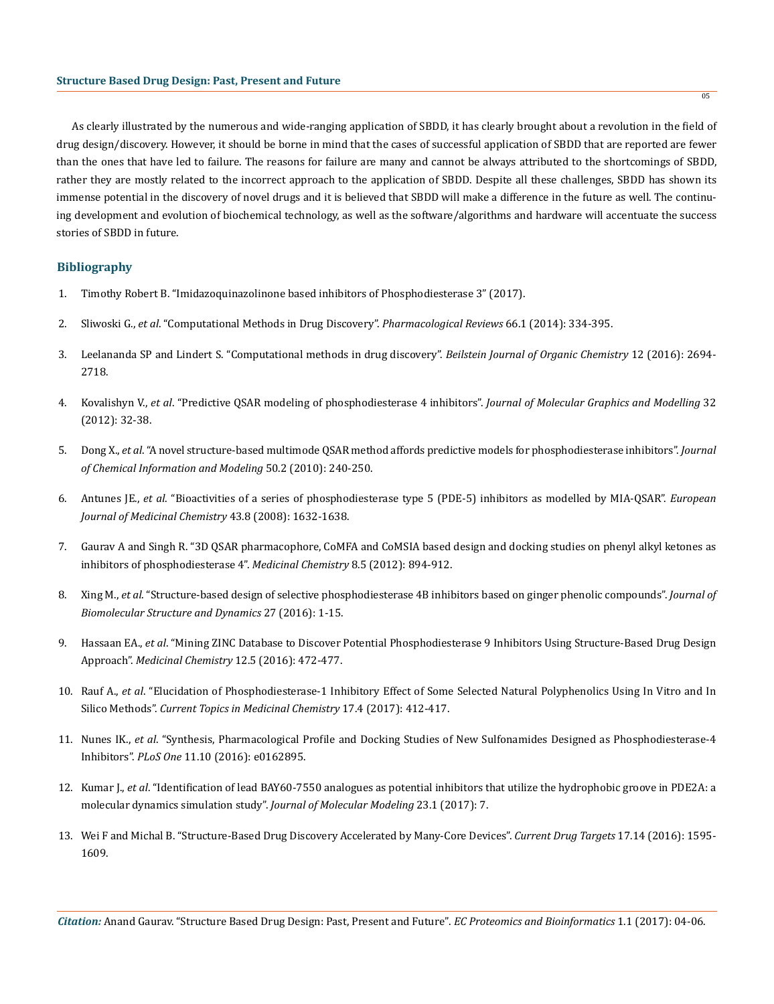As clearly illustrated by the numerous and wide-ranging application of SBDD, it has clearly brought about a revolution in the field of drug design/discovery. However, it should be borne in mind that the cases of successful application of SBDD that are reported are fewer than the ones that have led to failure. The reasons for failure are many and cannot be always attributed to the shortcomings of SBDD, rather they are mostly related to the incorrect approach to the application of SBDD. Despite all these challenges, SBDD has shown its immense potential in the discovery of novel drugs and it is believed that SBDD will make a difference in the future as well. The continuing development and evolution of biochemical technology, as well as the software/algorithms and hardware will accentuate the success stories of SBDD in future.

## **Bibliography**

- 1. [Timothy Robert B. "Imidazoquinazolinone based inhibitors of Phosphodiesterase 3" \(2017\).](https://figshare.com/articles/Imidazoquinazolinone_based_inhibitors_of_Phosphodiesterase_3/4664419)
- 2. Sliwoski G., *et al*[. "Computational Methods in Drug Discovery".](https://www.ncbi.nlm.nih.gov/pmc/articles/PMC3880464/) *Pharmacological Reviews* 66.1 (2014): 334-395.
- 3. [Leelananda SP and Lindert S. "Computational methods in drug discovery".](https://www.ncbi.nlm.nih.gov/pmc/articles/PMC5238551/) *Beilstein Journal of Organic Chemistry* 12 (2016): 2694- [2718.](https://www.ncbi.nlm.nih.gov/pmc/articles/PMC5238551/)
- 4. Kovalishyn V., *et al*[. "Predictive QSAR modeling of phosphodiesterase 4 inhibitors".](https://www.ncbi.nlm.nih.gov/pubmed/22023934) *Journal of Molecular Graphics and Modelling* 32 [\(2012\): 32-38.](https://www.ncbi.nlm.nih.gov/pubmed/22023934)
- 5. Dong X., *et al*[. "A novel structure-based multimode QSAR method affords predictive models for phosphodiesterase inhibitors".](https://www.ncbi.nlm.nih.gov/pubmed/20095527) *Journal [of Chemical Information and Modeling](https://www.ncbi.nlm.nih.gov/pubmed/20095527)* 50.2 (2010): 240-250.
- 6. Antunes JE., *et al*[. "Bioactivities of a series of phosphodiesterase type 5 \(PDE-5\) inhibitors as modelled by MIA-QSAR".](https://www.ncbi.nlm.nih.gov/pubmed/18045743) *European [Journal of Medicinal Chemistry](https://www.ncbi.nlm.nih.gov/pubmed/18045743)* 43.8 (2008): 1632-1638.
- 7. [Gaurav A and Singh R. "3D QSAR pharmacophore, CoMFA and CoMSIA based design and docking studies on phenyl alkyl ketones as](https://www.ncbi.nlm.nih.gov/pubmed/22741782)  [inhibitors of phosphodiesterase 4".](https://www.ncbi.nlm.nih.gov/pubmed/22741782) *Medicinal Chemistry* 8.5 (2012): 894-912.
- 8. Xing M., *et al*[. "Structure-based design of selective phosphodiesterase 4B inhibitors based on ginger phenolic compounds".](https://www.ncbi.nlm.nih.gov/pubmed/27608741) *Journal of [Biomolecular Structure and Dynamics](https://www.ncbi.nlm.nih.gov/pubmed/27608741)* 27 (2016): 1-15.
- 9. Hassaan EA., *et al*[. "Mining ZINC Database to Discover Potential Phosphodiesterase 9 Inhibitors Using Structure-Based Drug Design](https://www.ncbi.nlm.nih.gov/pubmed/26648332)  Approach". *[Medicinal Chemistry](https://www.ncbi.nlm.nih.gov/pubmed/26648332)* 12.5 (2016): 472-477.
- 10. Rauf A., *et al*[. "Elucidation of Phosphodiesterase-1 Inhibitory Effect of Some Selected Natural Polyphenolics Using In Vitro and In](https://www.ncbi.nlm.nih.gov/pubmed/27558680)  Silico Methods". *[Current Topics in Medicinal Chemistry](https://www.ncbi.nlm.nih.gov/pubmed/27558680)* 17.4 (2017): 412-417.
- 11. Nunes IK., *et al*[. "Synthesis, Pharmacological Profile and Docking Studies of New Sulfonamides Designed as Phosphodiesterase-4](https://www.ncbi.nlm.nih.gov/pubmed/27695125)  Inhibitors". *PLoS One* [11.10 \(2016\): e0162895.](https://www.ncbi.nlm.nih.gov/pubmed/27695125)
- 12. Kumar J., *et al*[. "Identification of lead BAY60-7550 analogues as potential inhibitors that utilize the hydrophobic groove in PDE2A: a](https://link.springer.com/article/10.1007/s00894-016-3171-1)  [molecular dynamics simulation study".](https://link.springer.com/article/10.1007/s00894-016-3171-1) *Journal of Molecular Modeling* 23.1 (2017): 7.
- 13. [Wei F and Michal B. "Structure-Based Drug Discovery Accelerated by Many-Core Devices".](https://www.ncbi.nlm.nih.gov/pubmed/26758669) *Current Drug Targets* 17.14 (2016): 1595- [1609.](https://www.ncbi.nlm.nih.gov/pubmed/26758669)